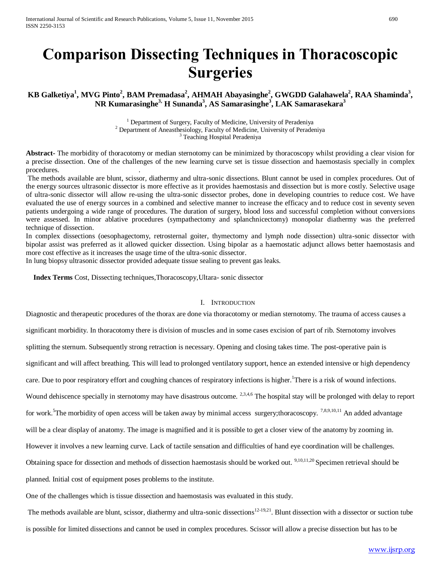# **Comparison Dissecting Techniques in Thoracoscopic Surgeries**

# **KB Galketiya<sup>1</sup> , MVG Pinto<sup>2</sup> , BAM Premadasa<sup>2</sup> , AHMAH Abayasinghe<sup>2</sup> , GWGDD Galahawela<sup>2</sup> , RAA Shaminda<sup>3</sup> , NR Kumarasinghe3, H Sunanda<sup>3</sup> , AS Samarasinghe<sup>3</sup> , LAK Samarasekara<sup>3</sup>**

<sup>1</sup> Department of Surgery, Faculty of Medicine, University of Peradeniya <sup>2</sup> Department of Aneasthesiology, Faculty of Medicine, University of Peradeniya Teaching Hospital Peradeniya

**Abstract-** The morbidity of thoracotomy or median sternotomy can be minimized by thoracoscopy whilst providing a clear vision for a precise dissection. One of the challenges of the new learning curve set is tissue dissection and haemostasis specially in complex procedures. .

The methods available are blunt, scissor, diathermy and ultra-sonic dissections. Blunt cannot be used in complex procedures. Out of the energy sources ultrasonic dissector is more effective as it provides haemostasis and dissection but is more costly. Selective usage of ultra-sonic dissector will allow re-using the ultra-sonic dissector probes, done in developing countries to reduce cost. We have evaluated the use of energy sources in a combined and selective manner to increase the efficacy and to reduce cost in seventy seven patients undergoing a wide range of procedures. The duration of surgery, blood loss and successful completion without conversions were assessed. In minor ablative procedures (sympathectomy and splanchnicectomy) monopolar diathermy was the preferred technique of dissection.

In complex dissections (oesophagectomy, retrosternal goiter, thymectomy and lymph node dissection) ultra-sonic dissector with bipolar assist was preferred as it allowed quicker dissection. Using bipolar as a haemostatic adjunct allows better haemostasis and more cost effective as it increases the usage time of the ultra-sonic dissector.

In lung biopsy ultrasonic dissector provided adequate tissue sealing to prevent gas leaks.

**Index Terms** Cost, Dissecting techniques,Thoracoscopy,Ultara- sonic dissector

### I. INTRODUCTION

Diagnostic and therapeutic procedures of the thorax are done via thoracotomy or median sternotomy. The trauma of access causes a significant morbidity. In thoracotomy there is division of muscles and in some cases excision of part of rib. Sternotomy involves splitting the sternum. Subsequently strong retraction is necessary. Opening and closing takes time. The post-operative pain is significant and will affect breathing. This will lead to prolonged ventilatory support, hence an extended intensive or high dependency care. Due to poor respiratory effort and coughing chances of respiratory infections is higher.<sup>1</sup>There is a risk of wound infections. Wound dehiscence specially in sternotomy may have disastrous outcome. <sup>2,3,4,6</sup> The hospital stay will be prolonged with delay to report for work.<sup>5</sup>The morbidity of open access will be taken away by minimal access surgery;thoracoscopy.<sup>7,8,9,10,11</sup> An added advantage will be a clear display of anatomy. The image is magnified and it is possible to get a closer view of the anatomy by zooming in. However it involves a new learning curve. Lack of tactile sensation and difficulties of hand eye coordination will be challenges. Obtaining space for dissection and methods of dissection haemostasis should be worked out. <sup>9,10,11,20</sup> Specimen retrieval should be planned. Initial cost of equipment poses problems to the institute.

One of the challenges which is tissue dissection and haemostasis was evaluated in this study.

The methods available are blunt, scissor, diathermy and ultra-sonic dissections $12-19,21$ . Blunt dissection with a dissector or suction tube is possible for limited dissections and cannot be used in complex procedures. Scissor will allow a precise dissection but has to be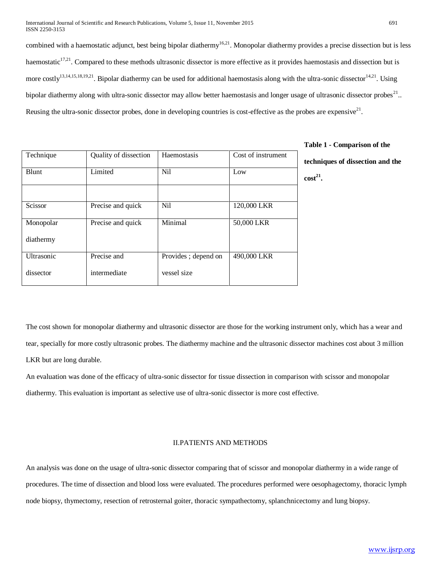combined with a haemostatic adjunct, best being bipolar diathermy<sup>16,21</sup>. Monopolar diathermy provides a precise dissection but is less haemostatic<sup>17,21</sup>. Compared to these methods ultrasonic dissector is more effective as it provides haemostasis and dissection but is more costly<sup>13,14,15,18,19,21</sup>. Bipolar diathermy can be used for additional haemostasis along with the ultra-sonic dissector  $14,21$ . Using bipolar diathermy along with ultra-sonic dissector may allow better haemostasis and longer usage of ultrasonic dissector probes<sup>21</sup>.. Reusing the ultra-sonic dissector probes, done in developing countries is cost-effective as the probes are expensive $2<sup>1</sup>$ .

| Technique         | Quality of dissection | Haemostasis         | Cost of instrument |
|-------------------|-----------------------|---------------------|--------------------|
| Blunt             | Limited               | <b>Nil</b>          | Low                |
|                   |                       |                     |                    |
| Scissor           | Precise and quick     | <b>Nil</b>          | 120,000 LKR        |
| Monopolar         | Precise and quick     | Minimal             | 50,000 LKR         |
| diathermy         |                       |                     |                    |
| <b>Ultrasonic</b> | Precise and           | Provides; depend on | 490,000 LKR        |
| dissector         | intermediate          | vessel size         |                    |

**Table 1 - Comparison of the** 

**techniques of dissection and the cost<sup>21</sup> .**

The cost shown for monopolar diathermy and ultrasonic dissector are those for the working instrument only, which has a wear and tear, specially for more costly ultrasonic probes. The diathermy machine and the ultrasonic dissector machines cost about 3 million LKR but are long durable.

An evaluation was done of the efficacy of ultra-sonic dissector for tissue dissection in comparison with scissor and monopolar diathermy. This evaluation is important as selective use of ultra-sonic dissector is more cost effective.

## II.PATIENTS AND METHODS

An analysis was done on the usage of ultra-sonic dissector comparing that of scissor and monopolar diathermy in a wide range of procedures. The time of dissection and blood loss were evaluated. The procedures performed were oesophagectomy, thoracic lymph node biopsy, thymectomy, resection of retrosternal goiter, thoracic sympathectomy, splanchnicectomy and lung biopsy.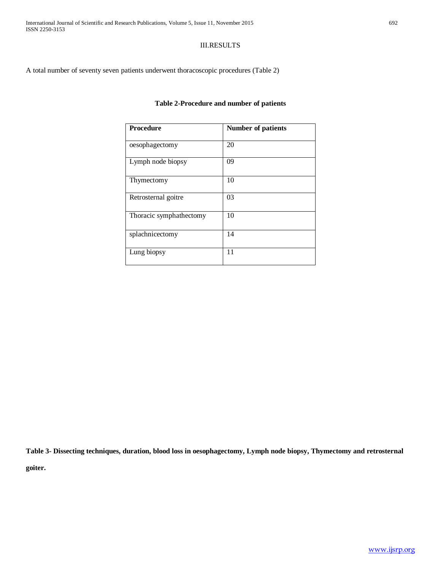## III.RESULTS

A total number of seventy seven patients underwent thoracoscopic procedures (Table 2)

## **Table 2-Procedure and number of patients**

| <b>Procedure</b>        | <b>Number of patients</b> |
|-------------------------|---------------------------|
| oesophagectomy          | 20                        |
| Lymph node biopsy       | 09                        |
| Thymectomy              | 10                        |
| Retrosternal goitre     | 03                        |
| Thoracic symphathectomy | 10                        |
| splachnicectomy         | 14                        |
| Lung biopsy             | 11                        |

**Table 3- Dissecting techniques, duration, blood loss in oesophagectomy, Lymph node biopsy, Thymectomy and retrosternal goiter.**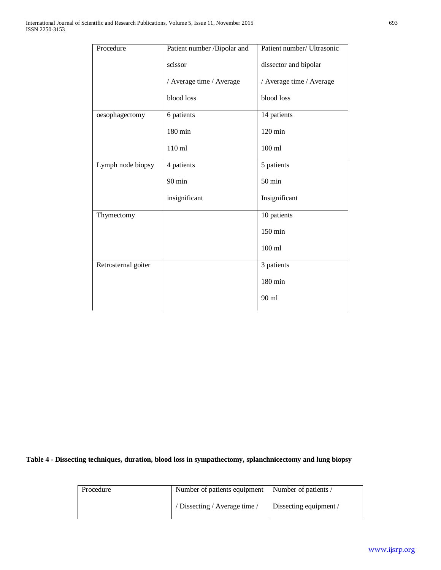| Procedure           | Patient number /Bipolar and | Patient number/ Ultrasonic |
|---------------------|-----------------------------|----------------------------|
|                     | scissor                     | dissector and bipolar      |
|                     | / Average time / Average    | / Average time / Average   |
|                     | blood loss                  | blood loss                 |
| oesophagectomy      | 6 patients                  | 14 patients                |
|                     | 180 min                     | $120 \text{ min}$          |
|                     | 110 ml                      | $100$ ml                   |
| Lymph node biopsy   | 4 patients                  | 5 patients                 |
|                     | $90 \text{ min}$            | $50 \text{ min}$           |
|                     | insignificant               | Insignificant              |
| Thymectomy          |                             | 10 patients                |
|                     |                             | 150 min                    |
|                     |                             | $100$ ml                   |
| Retrosternal goiter |                             | 3 patients                 |
|                     |                             | 180 min                    |
|                     |                             | $90 \text{ ml}$            |

# **Table 4 - Dissecting techniques, duration, blood loss in sympathectomy, splanchnicectomy and lung biopsy**

| Procedure | Number of patients equipment  | Number of patients /                          |  |
|-----------|-------------------------------|-----------------------------------------------|--|
|           | / Dissecting / Average time / | Dissecting equipment $\overline{\phantom{a}}$ |  |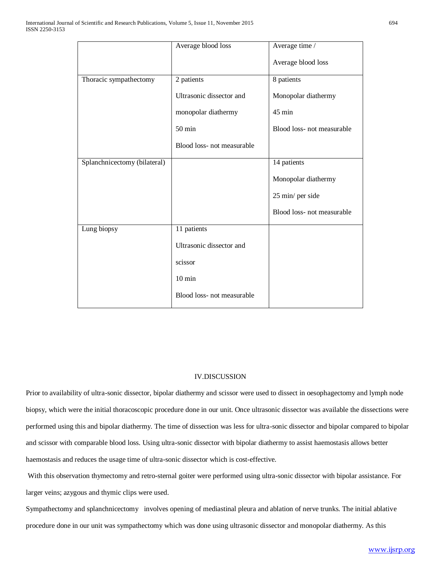|                              | Average blood loss         | Average time /             |
|------------------------------|----------------------------|----------------------------|
|                              |                            | Average blood loss         |
| Thoracic sympathectomy       | 2 patients                 | 8 patients                 |
|                              | Ultrasonic dissector and   | Monopolar diathermy        |
|                              | monopolar diathermy        | 45 min                     |
|                              | $50$ min                   | Blood loss- not measurable |
|                              | Blood loss- not measurable |                            |
| Splanchnicectomy (bilateral) |                            | 14 patients                |
|                              |                            | Monopolar diathermy        |
|                              |                            | 25 min/ per side           |
|                              |                            | Blood loss- not measurable |
| Lung biopsy                  | 11 patients                |                            |
|                              | Ultrasonic dissector and   |                            |
|                              | scissor                    |                            |
|                              | $10 \text{ min}$           |                            |
|                              | Blood loss- not measurable |                            |

## IV.DISCUSSION

Prior to availability of ultra-sonic dissector, bipolar diathermy and scissor were used to dissect in oesophagectomy and lymph node biopsy, which were the initial thoracoscopic procedure done in our unit. Once ultrasonic dissector was available the dissections were performed using this and bipolar diathermy. The time of dissection was less for ultra-sonic dissector and bipolar compared to bipolar and scissor with comparable blood loss. Using ultra-sonic dissector with bipolar diathermy to assist haemostasis allows better haemostasis and reduces the usage time of ultra-sonic dissector which is cost-effective.

With this observation thymectomy and retro-sternal goiter were performed using ultra-sonic dissector with bipolar assistance. For larger veins; azygous and thymic clips were used.

Sympathectomy and splanchnicectomy involves opening of mediastinal pleura and ablation of nerve trunks. The initial ablative procedure done in our unit was sympathectomy which was done using ultrasonic dissector and monopolar diathermy. As this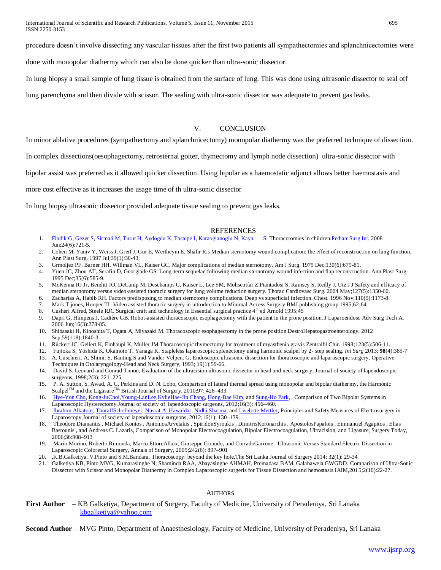International Journal of Scientific and Research Publications, Volume 5, Issue 11, November 2015 695 ISSN 2250-3153

procedure doesn't involve dissecting any vascular tissues after the first two patients all sympathectomies and splanchnicectomies were

done with monopolar diathermy which can also be done quicker than ultra-sonic dissector.

In lung biopsy a small sample of lung tissue is obtained from the surface of lung. This was done using ultrasonic dissector to seal off

lung parenchyma and then divide with scissor. The sealing with ultra-sonic dissector was adequate to prevent gas leaks.

## V. CONCLUSION

In minor ablative procedures (sympathectomy and splanchnicectomy) monopolar diathermy was the preferred technique of dissection.

In complex dissections(oesophagectomy, retrosternal goiter, thymectomy and lymph node dissection) ultra-sonic dissector with

bipolar assist was preferred as it allowed quicker dissection. Using bipolar as a haemostatic adjunct allows better haemostasis and

more cost effective as it increases the usage time of th ultra-sonic dissector

In lung biopsy ultrasonic dissector provided adequate tissue sealing to prevent gas leaks.

#### REFERENCES

- 1. [Findik G,](http://www.ncbi.nlm.nih.gov/pubmed?term=Findik%20G%5BAuthor%5D&cauthor=true&cauthor_uid=18414878) [Gezer S,](http://www.ncbi.nlm.nih.gov/pubmed?term=Gezer%20S%5BAuthor%5D&cauthor=true&cauthor_uid=18414878) [Sirmali M,](http://www.ncbi.nlm.nih.gov/pubmed?term=Sirmali%20M%5BAuthor%5D&cauthor=true&cauthor_uid=18414878) [Turut H,](http://www.ncbi.nlm.nih.gov/pubmed?term=Turut%20H%5BAuthor%5D&cauthor=true&cauthor_uid=18414878) [Aydogdu K,](http://www.ncbi.nlm.nih.gov/pubmed?term=Aydogdu%20K%5BAuthor%5D&cauthor=true&cauthor_uid=18414878) [Tastepe I,](http://www.ncbi.nlm.nih.gov/pubmed?term=Tastepe%20I%5BAuthor%5D&cauthor=true&cauthor_uid=18414878) [Karaoglanoglu N,](http://www.ncbi.nlm.nih.gov/pubmed?term=Karaoglanoglu%20N%5BAuthor%5D&cauthor=true&cauthor_uid=18414878) [Kaya S.](http://www.ncbi.nlm.nih.gov/pubmed?term=Kaya%20S%5BAuthor%5D&cauthor=true&cauthor_uid=18414878) Thoracotomies in children. Pediatr Surg Int. 2008  $\overline{Jun:24(6):721-5}.$
- 2. Cohen M, Yaniv Y, Weiss J, Greif J, Gur E, Wertheym E, Shafir R.s Median sternotomy wound complication: the effect of reconstruction on lung function. Ann Plast Surg. 1997 Jul;39(1):36-43.
- 3. Grmoljez PF, Barner HH, Willman VL, Kaiser GC. Major complications of median sternotomy. Am J Surg. 1975 Dec;130(6):679-81.
- 4. Yuen JC, Zhou AT, Serafin D, Georgiade GS. Long-term sequelae following median sternotomy wound infection and flap reconstruction. Ann Plast Surg. 1995 Dec;35(6):585-9.
- 5. McKenna RJ Jr, Benditt JO, DeCamp M, Deschamps C, Kaiser L, Lee SM, Mohsenifar Z,Piantadosi S, Ramsey S, Reilly J, Utz J J Safety and efficacy of median sternotomy versus video-assisted thoracic surgery for lung volume reduction surgery. Thorac Cardiovasc Surg. 2004 May;127(5):1350-60.
- 6. Zacharias A, Habib RH. Factors predisposing to median sternotomy complications. Deep vs superficial infection. Chest. 1996 Nov;110(5):1173-8.
- 7. Mark T jones, Hooper TL Video assisted thoracic surgery in introduction to Minimal Access Surgery BMJ publishing group 1995;62-64
- 8. Cusheri Alfred, Steele RJC Surgical craft and technology in Essential surgical practice 4<sup>th</sup> ed Arnold 1995;45
- 9. Dapri G, Himpens J, Cadière GB. Robot-assisted thoracoscopic esophagectomy with the patient in the prone position. J Laparoendosc Adv Surg Tech A. 2006 Jun;16(3):278-85.
- 10. Shibasaki H, Kinoshita T, Ogata A, Miyazaki M. Thoracoscopic esophagectomy in the prone position.DestroHepatogastroenterology. 2012 Sep;59(118):1840-3
- 11. Rückert JC, Gellert K, Einhäupl K, Müller JM Thoracoscopic thymectomy for treatment of myasthenia gravis Zentralbl Chir. 1998;123(5):506-11.
- 12. Fujioka S, Yoshida K, Okamoto T, Yanaga K. Stapleless laparoscopic splenectomy using harmonic scalpel by 2- step sealing. *Int Surg* 2013; **98**(4):385-7
- 13. A. Cuschieri. A, Shimi. S, Banting S and Vander Velpen. G, Endoscopic ultrasonic dissection for thoracoscopic and laparoscopic surgery, [Operative](http://www.sciencedirect.com/science/journal/10431810)  [Techniques in Otolaryngology-Head and Neck Surgery,](http://www.sciencedirect.com/science/journal/10431810) 1993; 19(1):59-66.
- 14. [David S. Leonard](http://www.sciencedirect.com/science/article/pii/S1043181008000031) an[d Conrad Timon,](http://www.sciencedirect.com/science/article/pii/S1043181008000031) Evaluation of the ultracision ultrasonic dissector in head and neck surgery, Journal of society of lapendoscopic surgeons, 1998;2(3): 221–225.
- 15. P. A. Sutton, S. Awad, A. C. Perkins and D. N. Lobo, Comparison of lateral thermal spread using monopolar and bipolar diathermy, the Harmonic Scalpel<sup>TM</sup> and the Ligasure<sup>TM</sup>. British Journal of Surgery, 2010;97: 428–
- 16. [Hye-Yon Cho,](http://www.ncbi.nlm.nih.gov/pubmed/?term=Cho%20HY%5Bauth%5D) [Kong-JuChoi](http://www.ncbi.nlm.nih.gov/pubmed/?term=Choi%20KJ%5Bauth%5D), Young-LanLee, KylieHae-Jin Chang, [Hong-Bae Kim,](http://www.ncbi.nlm.nih.gov/pubmed/?term=Kim%20HB%5Bauth%5D) and [Sung-Ho Park,](http://www.ncbi.nlm.nih.gov/pubmed/?term=Park%20SH%5Bauth%5D) , Comparison of Two Bipolar Systems in Laparoscopic Hysterectomy,Journal of society of lapendoscopic surgeons, 2012;16(3): 456–460.
- 17. [Ibrahim Alkatout,](http://www.ncbi.nlm.nih.gov/pubmed/?term=Alkatout%20I%5Bauth%5D) [ThoralfSchollmeyer,](http://www.ncbi.nlm.nih.gov/pubmed/?term=Schollmeyer%20T%5Bauth%5D) [Nusrat A. Hawaldar,](http://www.ncbi.nlm.nih.gov/pubmed/?term=Hawaldar%20NA%5Bauth%5D) [Nidhi Sharma,](http://www.ncbi.nlm.nih.gov/pubmed/?term=Sharma%20N%5Bauth%5D) and [Liselotte Mettler,](http://www.ncbi.nlm.nih.gov/pubmed/?term=Mettler%20L%5Bauth%5D) Principles and Safety Measures of Electrosurgery in Laparoscopy,Journal of society of lapendoscopic surgeons, 2012;16(1): 130–139.
- 18. Theodore Diamantis , Michael Kontos , AntoniosArvelakis , SpiridonSyroukis , DimitrisKoronarchis , ApostolosPapalois , Emmanuel Agapitos , Elias Bastounis , and Andreas C. Lazaris, Comparison of Monopolar Electrocoagulation, Bipolar Electrocoagulation, Ultracision, and Ligasure, Surgery Today, 2006;36:908–913
- 19. [Mario Morino,](http://www.ncbi.nlm.nih.gov/pubmed/?term=Morino%20M%5Bauth%5D) [Roberto Rimonda,](http://www.ncbi.nlm.nih.gov/pubmed/?term=Rimonda%20R%5Bauth%5D) [Marco EttoreAllaix,](http://www.ncbi.nlm.nih.gov/pubmed/?term=Allaix%20ME%5Bauth%5D) [Giuseppe Giraudo,](http://www.ncbi.nlm.nih.gov/pubmed/?term=Giraudo%20G%5Bauth%5D) and [CorradoGarrone,](http://www.ncbi.nlm.nih.gov/pubmed/?term=Garrone%20C%5Bauth%5D) Ultrasonic Versus Standard Electric Dissection in Laparoscopic Colorectal Surgery, Annals of Surgery, 2005;242(6): 897–901
- 20. ,K.B.Galketiya, V.Pinto and S.M.Bandara, Thoracoscopy: beyond the key hole,The Sri Lanka Journal of Surgery 2014; 32(1): 29-34
- 21. Galketiya KB, Pinto MVG, Kumarasinghe N, Shaminda RAA, Abayasinghe AHMAH, Premadasa BAM, Galahawela GWGDD. Comparison of Ultra-Sonic Dissector with Scissor and Monopolar Diathermy in Complex Laparoscopic surgeris for Tissue Dissection and hemostasis.IAIM,2015;2(10):22-27.

#### **AUTHORS**

**First Author** – KB Galketiya, Department of Surgery, Faculty of Medicine, University of Peradeniya, Sri Lanaka [kbgalketiya@yahoo.com](mailto:kbgalketiya@yahoo.com)

**Second Author** – MVG Pinto, Department of Anaesthesiology, Faculty of Medicine, University of Peradeniya, Sri Lanaka